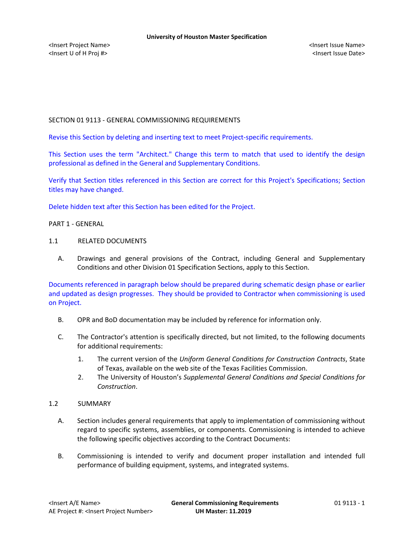<Insert Project Name> <Insert Issue Name> <Insert U of H Proj #> <Insert Issue Date>

# SECTION 01 9113 - GENERAL COMMISSIONING REQUIREMENTS

Revise this Section by deleting and inserting text to meet Project-specific requirements.

This Section uses the term "Architect." Change this term to match that used to identify the design professional as defined in the General and Supplementary Conditions.

Verify that Section titles referenced in this Section are correct for this Project's Specifications; Section titles may have changed.

Delete hidden text after this Section has been edited for the Project.

PART 1 - GENERAL

### 1.1 RELATED DOCUMENTS

A. Drawings and general provisions of the Contract, including General and Supplementary Conditions and other Division 01 Specification Sections, apply to this Section.

Documents referenced in paragraph below should be prepared during schematic design phase or earlier and updated as design progresses. They should be provided to Contractor when commissioning is used on Project.

- B. OPR and BoD documentation may be included by reference for information only.
- C. The Contractor's attention is specifically directed, but not limited, to the following documents for additional requirements:
	- 1. The current version of the *Uniform General Conditions for Construction Contracts*, State of Texas, available on the web site of the Texas Facilities Commission.
	- 2. The University of Houston's *Supplemental General Conditions and Special Conditions for Construction*.

### 1.2 SUMMARY

- A. Section includes general requirements that apply to implementation of commissioning without regard to specific systems, assemblies, or components. Commissioning is intended to achieve the following specific objectives according to the Contract Documents:
- B. Commissioning is intended to verify and document proper installation and intended full performance of building equipment, systems, and integrated systems.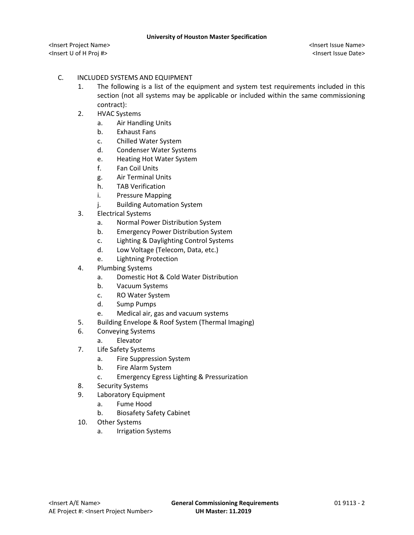<Insert Project Name> <Insert Issue Name> <Insert U of H Proj #> <Insert Issue Date>

# C. INCLUDED SYSTEMS AND EQUIPMENT

- 1. The following is a list of the equipment and system test requirements included in this section (not all systems may be applicable or included within the same commissioning contract):
- 2. HVAC Systems
	- a. Air Handling Units
	- b. Exhaust Fans
	- c. Chilled Water System
	- d. Condenser Water Systems
	- e. Heating Hot Water System
	- f. Fan Coil Units
	- g. Air Terminal Units
	- h. TAB Verification
	- i. Pressure Mapping
	- j. Building Automation System
- 3. Electrical Systems
	- a. Normal Power Distribution System
	- b. Emergency Power Distribution System
	- c. Lighting & Daylighting Control Systems
	- d. Low Voltage (Telecom, Data, etc.)
	- e. Lightning Protection
- 4. Plumbing Systems
	- a. Domestic Hot & Cold Water Distribution
	- b. Vacuum Systems
	- c. RO Water System
	- d. Sump Pumps
	- e. Medical air, gas and vacuum systems
- 5. Building Envelope & Roof System (Thermal Imaging)
- 6. Conveying Systems
	- a. Elevator
- 7. Life Safety Systems
	- a. Fire Suppression System
	- b. Fire Alarm System
	- c. Emergency Egress Lighting & Pressurization
- 8. Security Systems
- 9. Laboratory Equipment
	- a. Fume Hood
	- b. Biosafety Safety Cabinet
- 10. Other Systems
	- a. Irrigation Systems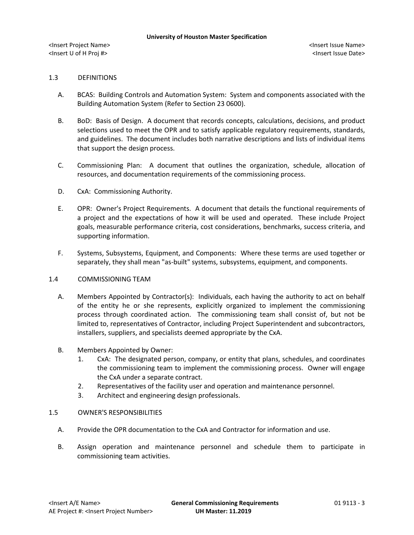### 1.3 DEFINITIONS

- A. BCAS: Building Controls and Automation System: System and components associated with the Building Automation System (Refer to Section 23 0600).
- B. BoD: Basis of Design. A document that records concepts, calculations, decisions, and product selections used to meet the OPR and to satisfy applicable regulatory requirements, standards, and guidelines. The document includes both narrative descriptions and lists of individual items that support the design process.
- C. Commissioning Plan: A document that outlines the organization, schedule, allocation of resources, and documentation requirements of the commissioning process.
- D. CxA: Commissioning Authority.
- E. OPR: Owner's Project Requirements. A document that details the functional requirements of a project and the expectations of how it will be used and operated. These include Project goals, measurable performance criteria, cost considerations, benchmarks, success criteria, and supporting information.
- F. Systems, Subsystems, Equipment, and Components: Where these terms are used together or separately, they shall mean "as-built" systems, subsystems, equipment, and components.

### 1.4 COMMISSIONING TEAM

- A. Members Appointed by Contractor(s): Individuals, each having the authority to act on behalf of the entity he or she represents, explicitly organized to implement the commissioning process through coordinated action. The commissioning team shall consist of, but not be limited to, representatives of Contractor, including Project Superintendent and subcontractors, installers, suppliers, and specialists deemed appropriate by the CxA.
- B. Members Appointed by Owner:
	- 1. CxA: The designated person, company, or entity that plans, schedules, and coordinates the commissioning team to implement the commissioning process. Owner will engage the CxA under a separate contract.
	- 2. Representatives of the facility user and operation and maintenance personnel.
	- 3. Architect and engineering design professionals.

### 1.5 OWNER'S RESPONSIBILITIES

- A. Provide the OPR documentation to the CxA and Contractor for information and use.
- B. Assign operation and maintenance personnel and schedule them to participate in commissioning team activities.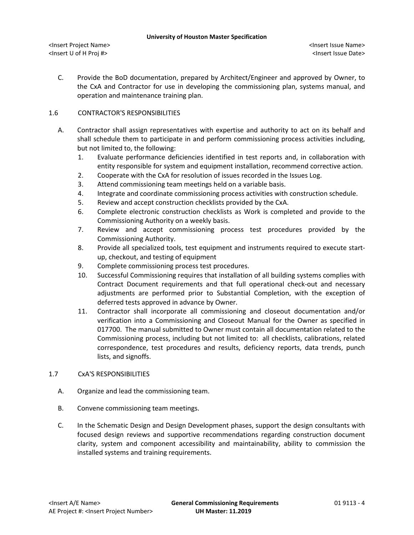#### **University of Houston Master Specification**

C. Provide the BoD documentation, prepared by Architect/Engineer and approved by Owner, to the CxA and Contractor for use in developing the commissioning plan, systems manual, and operation and maintenance training plan.

## 1.6 CONTRACTOR'S RESPONSIBILITIES

- A. Contractor shall assign representatives with expertise and authority to act on its behalf and shall schedule them to participate in and perform commissioning process activities including, but not limited to, the following:
	- 1. Evaluate performance deficiencies identified in test reports and, in collaboration with entity responsible for system and equipment installation, recommend corrective action.
	- 2. Cooperate with the CxA for resolution of issues recorded in the Issues Log.
	- 3. Attend commissioning team meetings held on a variable basis.
	- 4. Integrate and coordinate commissioning process activities with construction schedule.
	- 5. Review and accept construction checklists provided by the CxA.
	- 6. Complete electronic construction checklists as Work is completed and provide to the Commissioning Authority on a weekly basis.
	- 7. Review and accept commissioning process test procedures provided by the Commissioning Authority.
	- 8. Provide all specialized tools, test equipment and instruments required to execute startup, checkout, and testing of equipment
	- 9. Complete commissioning process test procedures.
	- 10. Successful Commissioning requires that installation of all building systems complies with Contract Document requirements and that full operational check-out and necessary adjustments are performed prior to Substantial Completion, with the exception of deferred tests approved in advance by Owner.
	- 11. Contractor shall incorporate all commissioning and closeout documentation and/or verification into a Commissioning and Closeout Manual for the Owner as specified in 017700. The manual submitted to Owner must contain all documentation related to the Commissioning process, including but not limited to: all checklists, calibrations, related correspondence, test procedures and results, deficiency reports, data trends, punch lists, and signoffs.

## 1.7 CxA'S RESPONSIBILITIES

- A. Organize and lead the commissioning team.
- B. Convene commissioning team meetings.
- C. In the Schematic Design and Design Development phases, support the design consultants with focused design reviews and supportive recommendations regarding construction document clarity, system and component accessibility and maintainability, ability to commission the installed systems and training requirements.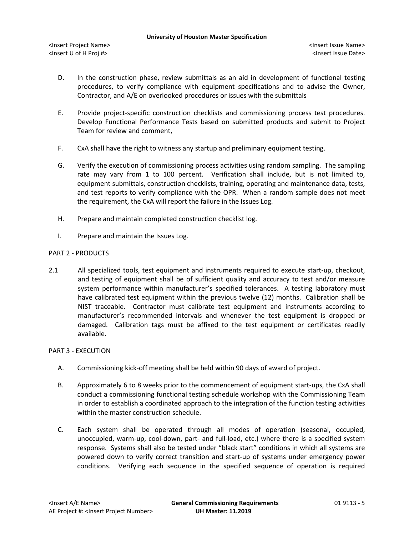- D. In the construction phase, review submittals as an aid in development of functional testing procedures, to verify compliance with equipment specifications and to advise the Owner, Contractor, and A/E on overlooked procedures or issues with the submittals
- E. Provide project-specific construction checklists and commissioning process test procedures. Develop Functional Performance Tests based on submitted products and submit to Project Team for review and comment,
- F. CxA shall have the right to witness any startup and preliminary equipment testing.
- G. Verify the execution of commissioning process activities using random sampling. The sampling rate may vary from 1 to 100 percent. Verification shall include, but is not limited to, equipment submittals, construction checklists, training, operating and maintenance data, tests, and test reports to verify compliance with the OPR. When a random sample does not meet the requirement, the CxA will report the failure in the Issues Log.
- H. Prepare and maintain completed construction checklist log.
- I. Prepare and maintain the Issues Log.

### PART 2 - PRODUCTS

2.1 All specialized tools, test equipment and instruments required to execute start-up, checkout, and testing of equipment shall be of sufficient quality and accuracy to test and/or measure system performance within manufacturer's specified tolerances. A testing laboratory must have calibrated test equipment within the previous twelve (12) months. Calibration shall be NIST traceable. Contractor must calibrate test equipment and instruments according to manufacturer's recommended intervals and whenever the test equipment is dropped or damaged. Calibration tags must be affixed to the test equipment or certificates readily available.

### PART 3 - EXECUTION

- A. Commissioning kick-off meeting shall be held within 90 days of award of project.
- B. Approximately 6 to 8 weeks prior to the commencement of equipment start-ups, the CxA shall conduct a commissioning functional testing schedule workshop with the Commissioning Team in order to establish a coordinated approach to the integration of the function testing activities within the master construction schedule.
- C. Each system shall be operated through all modes of operation (seasonal, occupied, unoccupied, warm-up, cool-down, part- and full-load, etc.) where there is a specified system response. Systems shall also be tested under "black start" conditions in which all systems are powered down to verify correct transition and start-up of systems under emergency power conditions. Verifying each sequence in the specified sequence of operation is required